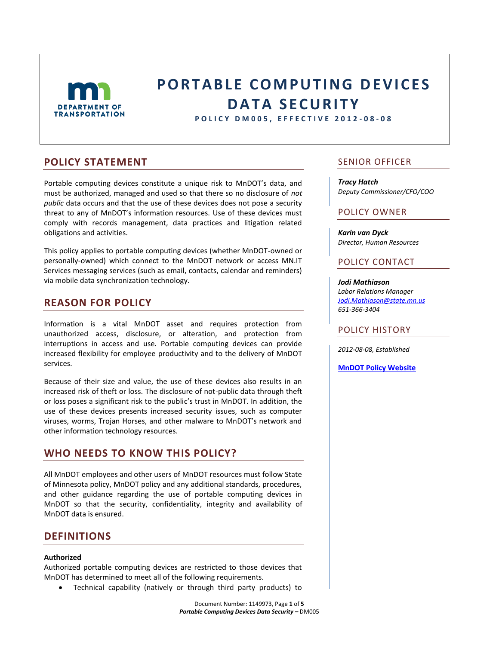

# **PORTABLE COMPUTING DEVICES DATA SECURITY**

**P O L I C Y D M 0 0 5 , E F F E C T I V E 2 0 1 2 - 0 8 - 0 8**

## **POLICY STATEMENT**

Portable computing devices constitute a unique risk to MnDOT's data, and must be authorized, managed and used so that there so no disclosure of *not public* data occurs and that the use of these devices does not pose a security threat to any of MnDOT's information resources. Use of these devices must comply with records management, data practices and litigation related obligations and activities.

This policy applies to portable computing devices (whether MnDOT-owned or personally-owned) which connect to the MnDOT network or access MN.IT Services messaging services (such as email, contacts, calendar and reminders) via mobile data synchronization technology.

## **REASON FOR POLICY**

Information is a vital MnDOT asset and requires protection from unauthorized access, disclosure, or alteration, and protection from interruptions in access and use. Portable computing devices can provide increased flexibility for employee productivity and to the delivery of MnDOT services.

Because of their size and value, the use of these devices also results in an increased risk of theft or loss. The disclosure of not-public data through theft or loss poses a significant risk to the public's trust in MnDOT. In addition, the use of these devices presents increased security issues, such as computer viruses, worms, Trojan Horses, and other malware to MnDOT's network and other information technology resources.

# **WHO NEEDS TO KNOW THIS POLICY?**

All MnDOT employees and other users of MnDOT resources must follow State of Minnesota policy, MnDOT policy and any additional standards, procedures, and other guidance regarding the use of portable computing devices in MnDOT so that the security, confidentiality, integrity and availability of MnDOT data is ensured.

## **DEFINITIONS**

### **Authorized**

Authorized portable computing devices are restricted to those devices that MnDOT has determined to meet all of the following requirements.

Technical capability (natively or through third party products) to

## SENIOR OFFICER

*Tracy Hatch Deputy Commissioner/CFO/COO*

## POLICY OWNER

*Karin van Dyck Director, Human Resources*

## POLICY CONTACT

*Jodi Mathiason Labor Relations Manager [Jodi.Mathiason@state.mn.us](mailto:Jodi.mathiason@state.mn.us) 651-366-3404*

## POLICY HISTORY

*2012-08-08, Established*

**[MnDOT Policy Website](http://www.dot.state.mn.us/policy/index.html)**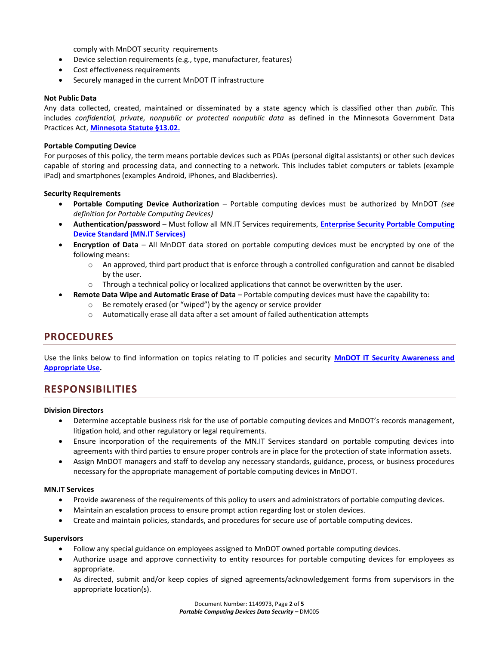comply with MnDOT security requirements

- Device selection requirements (e.g., type, manufacturer, features)
- Cost effectiveness requirements
- Securely managed in the current MnDOT IT infrastructure

#### **Not Public Data**

Any data collected, created, maintained or disseminated by a state agency which is classified other than *public.* This includes *confidential, private, nonpublic or protected nonpublic data* as defined in the Minnesota Government Data Practices Act, **[Minnesota Statute §13.02.](https://www.revisor.mn.gov/statutes/?id=13.02)**

#### **Portable Computing Device**

For purposes of this policy, the term means portable devices such as PDAs (personal digital assistants) or other such devices capable of storing and processing data, and connecting to a network. This includes tablet computers or tablets (example iPad) and smartphones (examples Android, iPhones, and Blackberries).

#### **Security Requirements**

- **Portable Computing Device Authorization** Portable computing devices must be authorized by MnDOT *(see definition for Portable Computing Devices)*
- **Authentication/password** Must follow all MN.IT Services requirements, **[Enterprise Security Portable Computing](http://www.mn.gov/oet/multimedia/pdf/SEC_S_Enterprise_Security_Portable_Computing_Devices)  [Device Standard \(MN.IT Services\)](http://www.mn.gov/oet/multimedia/pdf/SEC_S_Enterprise_Security_Portable_Computing_Devices)**
- **Encryption of Data** All MnDOT data stored on portable computing devices must be encrypted by one of the following means:
	- o An approved, third part product that is enforce through a controlled configuration and cannot be disabled by the user.
	- o Through a technical policy or localized applications that cannot be overwritten by the user.

## **Remote Data Wipe and Automatic Erase of Data** – Portable computing devices must have the capability to:

- o Be remotely erased (or "wiped") by the agency or service provider
- $\circ$  Automatically erase all data after a set amount of failed authentication attempts

## **PROCEDURES**

Use the links below to find information on topics relating to IT policies and security **[MnDOT IT Security Awareness and](http://ihub/itweb/security.html)  [Appropriate Use.](http://ihub/itweb/security.html)** 

## **RESPONSIBILITIES**

#### **Division Directors**

- Determine acceptable business risk for the use of portable computing devices and MnDOT's records management, litigation hold, and other regulatory or legal requirements.
- Ensure incorporation of the requirements of the MN.IT Services standard on portable computing devices into agreements with third parties to ensure proper controls are in place for the protection of state information assets.
- Assign MnDOT managers and staff to develop any necessary standards, guidance, process, or business procedures necessary for the appropriate management of portable computing devices in MnDOT.

#### **MN.IT Services**

- Provide awareness of the requirements of this policy to users and administrators of portable computing devices.
- Maintain an escalation process to ensure prompt action regarding lost or stolen devices.
- Create and maintain policies, standards, and procedures for secure use of portable computing devices.

#### **Supervisors**

- Follow any special guidance on employees assigned to MnDOT owned portable computing devices.
- Authorize usage and approve connectivity to entity resources for portable computing devices for employees as appropriate.
- As directed, submit and/or keep copies of signed agreements/acknowledgement forms from supervisors in the appropriate location(s).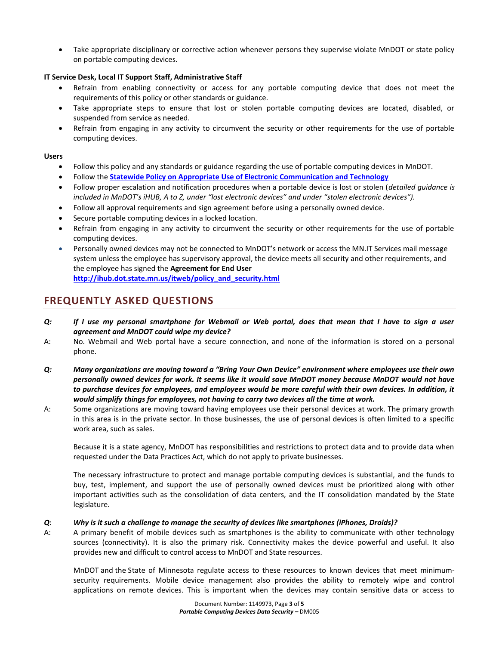Take appropriate disciplinary or corrective action whenever persons they supervise violate MnDOT or state policy on portable computing devices.

## **IT Service Desk, Local IT Support Staff, Administrative Staff**

- Refrain from enabling connectivity or access for any portable computing device that does not meet the requirements of this policy or other standards or guidance.
- Take appropriate steps to ensure that lost or stolen portable computing devices are located, disabled, or suspended from service as needed.
- Refrain from engaging in any activity to circumvent the security or other requirements for the use of portable computing devices.

### **Users**

- Follow this policy and any standards or guidance regarding the use of portable computing devices in MnDOT.
- Follow the **[Statewide Policy on Appropriate Use of Electronic Communication and Technology](http://www.mmb.state.mn.us/doc/hr/policy/policy-electronic)**
- Follow proper escalation and notification procedures when a portable device is lost or stolen (*detailed guidance is included in MnDOT's iHUB, A to Z, under "lost electronic devices" and under "stolen electronic devices").*
- Follow all approval requirements and sign agreement before using a personally owned device.
- Secure portable computing devices in a locked location.
- Refrain from engaging in any activity to circumvent the security or other requirements for the use of portable computing devices.
- Personally owned devices may not be connected to MnDOT's network or access the MN.IT Services mail message system unless the employee has supervisory approval, the device meets all security and other requirements, and the employee has signed the **Agreement for End User**

**[http://ihub.dot.state.mn.us/itweb/policy\\_and\\_security.html](http://ihub.dot.state.mn.us/itweb/policy_and_security.html)**

# **FREQUENTLY ASKED QUESTIONS**

- *Q: If I use my personal smartphone for Webmail or Web portal, does that mean that I have to sign a user agreement and MnDOT could wipe my device?*
- A: No. Webmail and Web portal have a secure connection, and none of the information is stored on a personal phone.
- *Q: Many organizations are moving toward a "Bring Your Own Device" environment where employees use their own personally owned devices for work. It seems like it would save MnDOT money because MnDOT would not have*  to purchase devices for employees, and employees would be more careful with their own devices. In addition, it *would simplify things for employees, not having to carry two devices all the time at work.*
- A: Some organizations are moving toward having employees use their personal devices at work. The primary growth in this area is in the private sector. In those businesses, the use of personal devices is often limited to a specific work area, such as sales.

Because it is a state agency, MnDOT has responsibilities and restrictions to protect data and to provide data when requested under the Data Practices Act, which do not apply to private businesses.

The necessary infrastructure to protect and manage portable computing devices is substantial, and the funds to buy, test, implement, and support the use of personally owned devices must be prioritized along with other important activities such as the consolidation of data centers, and the IT consolidation mandated by the State legislature.

### *Q*: *Why is it such a challenge to manage the security of devices like smartphones (iPhones, Droids)?*

A: A primary benefit of mobile devices such as smartphones is the ability to communicate with other technology sources (connectivity). It is also the primary risk. Connectivity makes the device powerful and useful. It also provides new and difficult to control access to MnDOT and State resources.

MnDOT and the State of Minnesota regulate access to these resources to known devices that meet minimumsecurity requirements. Mobile device management also provides the ability to remotely wipe and control applications on remote devices. This is important when the devices may contain sensitive data or access to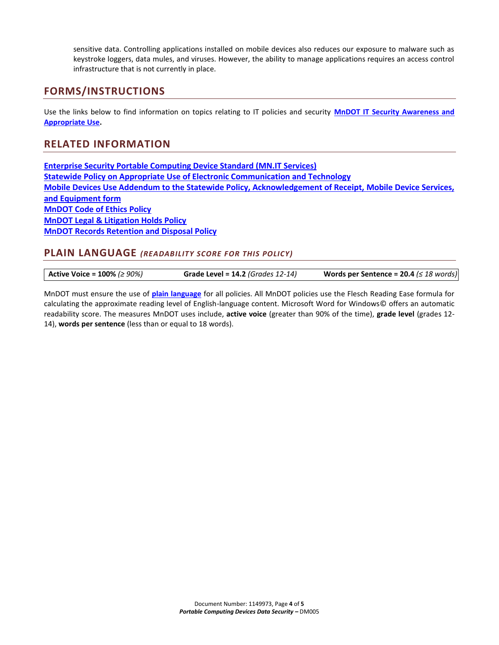sensitive data. Controlling applications installed on mobile devices also reduces our exposure to malware such as keystroke loggers, data mules, and viruses. However, the ability to manage applications requires an access control infrastructure that is not currently in place.

# **FORMS/INSTRUCTIONS**

Use the links below to find information on topics relating to IT policies and security **[MnDOT IT Security Awareness and](http://ihub/itweb/security.html)  [Appropriate Use.](http://ihub/itweb/security.html)** 

## **RELATED INFORMATION**

**[Enterprise Security Portable Computing Device Standard \(MN.IT Services\)](http://www.mn.gov/oet/multimedia/pdf/SEC_S_Enterprise_Security_Portable_Computing_Devices) [Statewide Policy on Appropriate Use of Electronic Communication and Technology](http://www.mmb.state.mn.us/doc/hr/policy/policy-electronic) [Mobile Devices Use Addendum to the Statewide Policy, Acknowledgement of Receipt, Mobile Device Services,](http://www.admin.state.mn.us/documents/bulletin_2006_attachment_cell-phone-receipt)  [and Equipment form](http://www.admin.state.mn.us/documents/bulletin_2006_attachment_cell-phone-receipt) [MnDOT Code of Ethics Policy](http://www.dot.state.mn.us/policy/hr/hr008.html) [MnDOT Legal & Litigation Holds Policy](http://www.dot.state.mn.us/policy/admin/ad004.html) [MnDOT Records Retention and Disposal Policy](http://www.dot.state.mn.us/policy/admin/ad003.html)**

## **PLAIN LANGUAGE** *(READABILITY SCORE FOR THIS POLICY)*

| Active Voice = $100\%$ ( $\geq 90\%$ ) | <b>Grade Level = 14.2 (Grades 12-14)</b> | Words per Sentence = 20.4 ( $\leq$ 18 words) |
|----------------------------------------|------------------------------------------|----------------------------------------------|
|                                        |                                          |                                              |

MnDOT must ensure the use of **[plain language](http://ihub.dot.state.mn.us/plainlanguage/index.html)** for all policies. All MnDOT policies use the Flesch Reading Ease formula for calculating the approximate reading level of English-language content. Microsoft Word for Windows© offers an automatic readability score. The measures MnDOT uses include, **active voice** (greater than 90% of the time), **grade level** (grades 12- 14), **words per sentence** (less than or equal to 18 words).